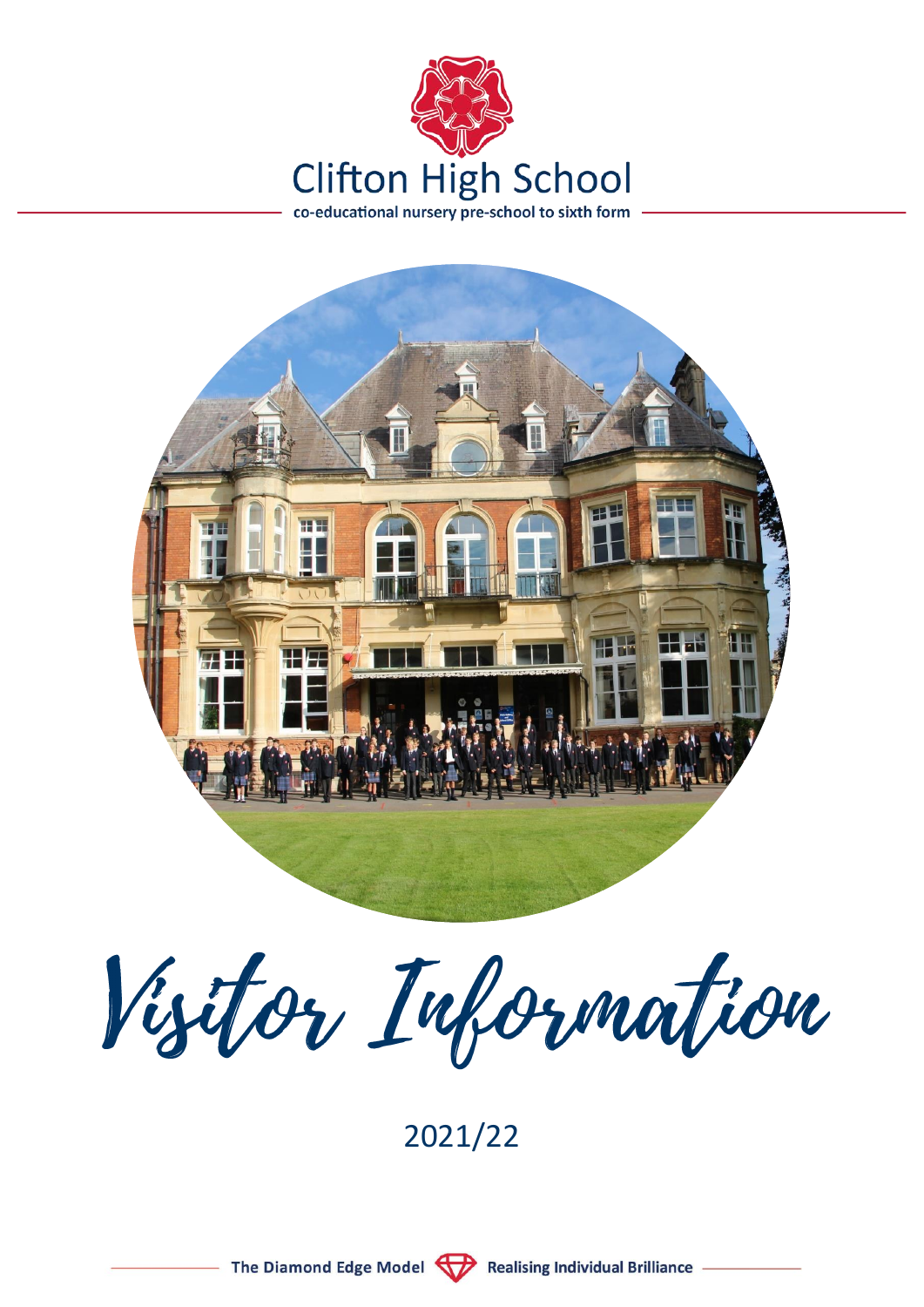



Visitor Information

2021/22

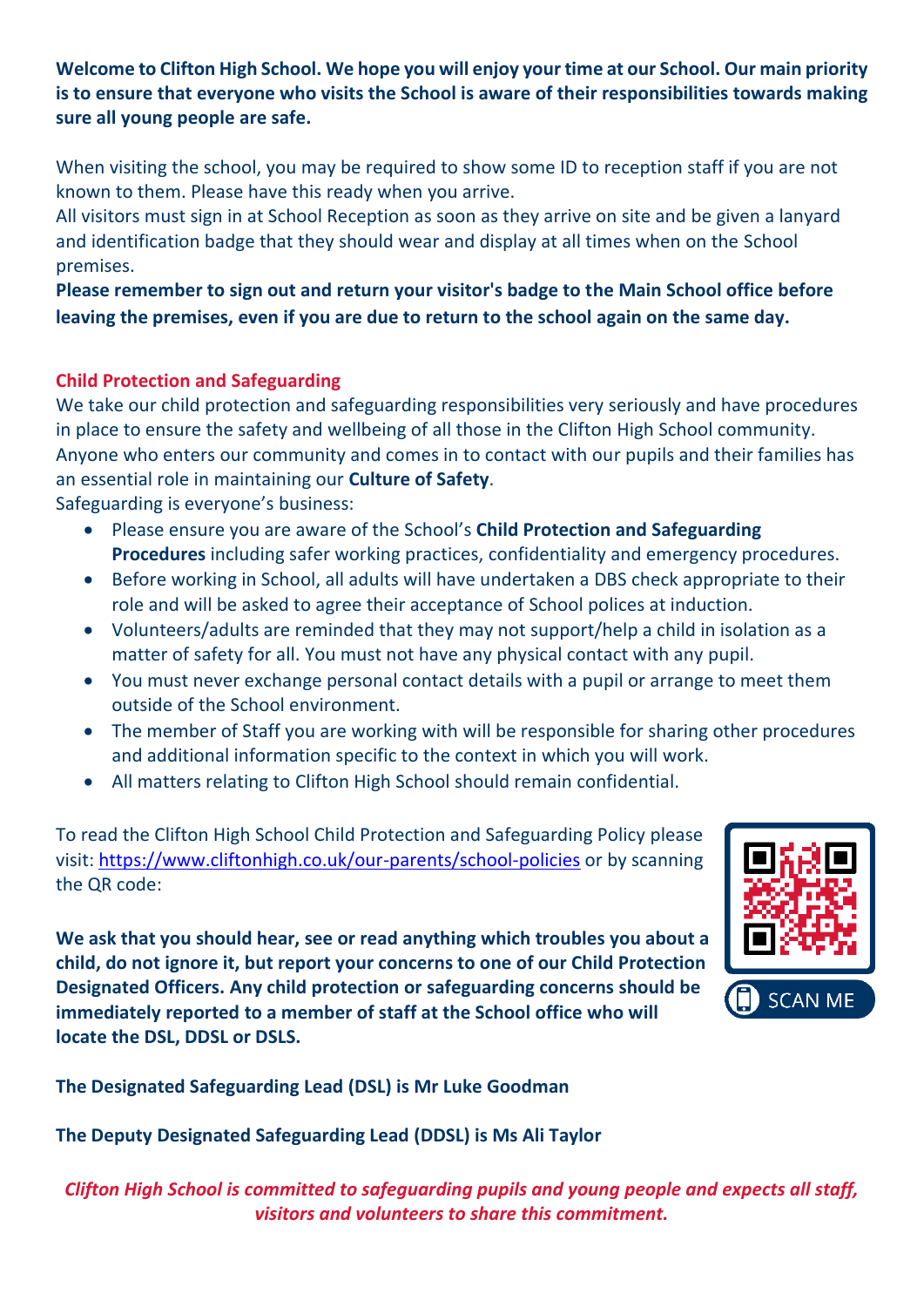**Welcome to Clifton High School. We hope you will enjoy your time at our School. Our main priority is to ensure that everyone who visits the School is aware of their responsibilities towards making sure all young people are safe.**

When visiting the school, you may be required to show some ID to reception staff if you are not known to them. Please have this ready when you arrive.

All visitors must sign in at School Reception as soon as they arrive on site and be given a lanyard and identification badge that they should wear and display at all times when on the School premises.

**Please remember to sign out and return your visitor's badge to the Main School office before leaving the premises, even if you are due to return to the school again on the same day.**

# **Child Protection and Safeguarding**

We take our child protection and safeguarding responsibilities very seriously and have procedures in place to ensure the safety and wellbeing of all those in the Clifton High School community. Anyone who enters our community and comes in to contact with our pupils and their families has an essential role in maintaining our **Culture of Safety**.

Safeguarding is everyone's business:

- Please ensure you are aware of the School's **Child Protection and Safeguarding Procedures** including safer working practices, confidentiality and emergency procedures.
- Before working in School, all adults will have undertaken a DBS check appropriate to their role and will be asked to agree their acceptance of School polices at induction.
- Volunteers/adults are reminded that they may not support/help a child in isolation as a matter of safety for all. You must not have any physical contact with any pupil.
- You must never exchange personal contact details with a pupil or arrange to meet them outside of the School environment.
- The member of Staff you are working with will be responsible for sharing other procedures and additional information specific to the context in which you will work.
- All matters relating to Clifton High School should remain confidential.

To read the Clifton High School Child Protection and Safeguarding Policy please visit: https://www.cliftonhigh.co.uk/our-parents/school-policies or by scanning the QR code:

**We ask that you should hear, see or read anything which troubles you about a child, do not ignore it, but report your concerns to one of our Child Protection Designated Officers. Any child protection or safeguarding concerns should be immediately reported to a member of staff at the School office who will locate the DSL, DDSL or DSLS.**



**The Designated Safeguarding Lead (DSL) is Mr Luke Goodman** 

**The Deputy Designated Safeguarding Lead (DDSL) is Ms Ali Taylor** 

*Clifton High School is committed to safeguarding pupils and young people and expects all staff, visitors and volunteers to share this commitment.*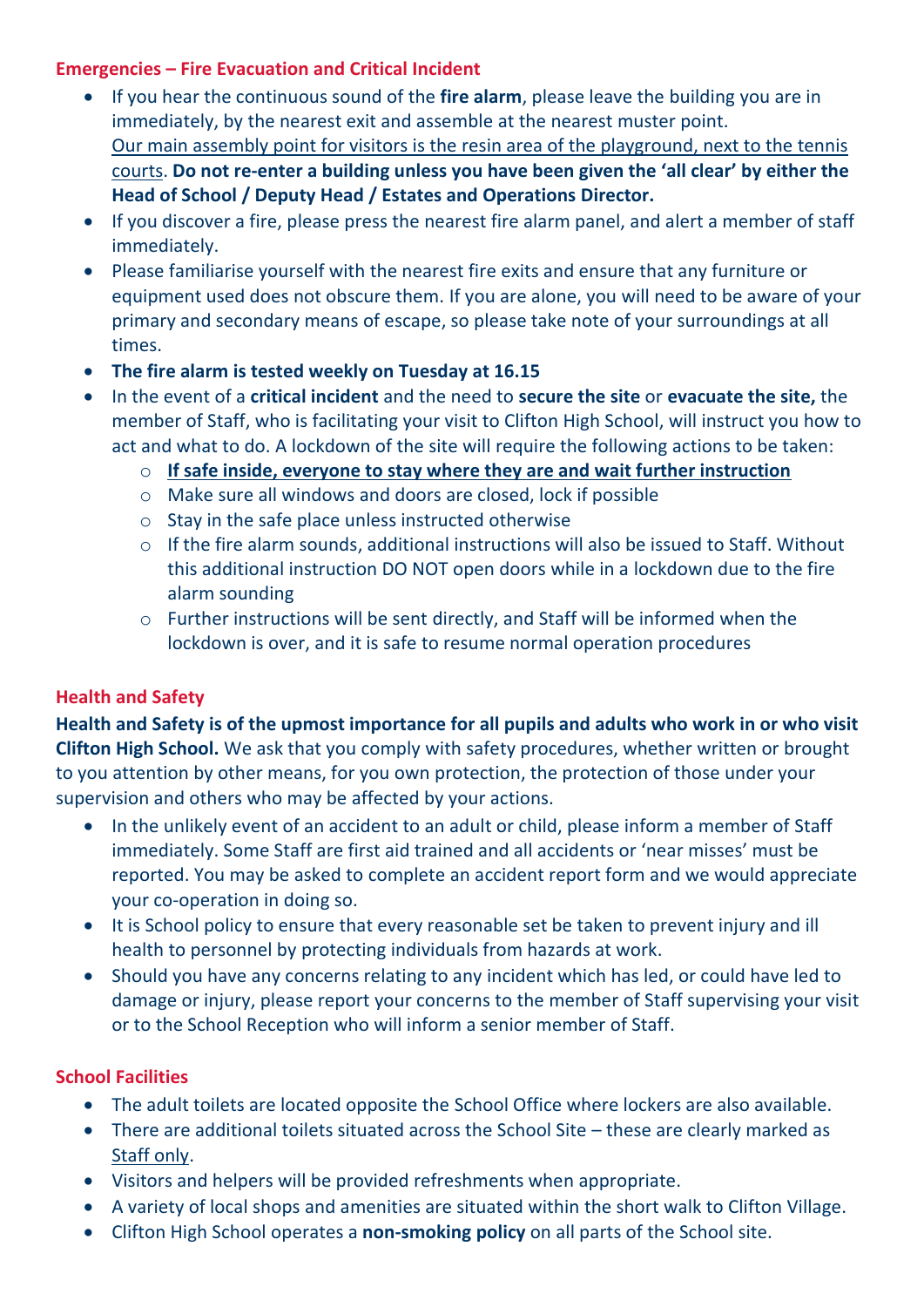## **Emergencies – Fire Evacuation and Critical Incident**

- If you hear the continuous sound of the **fire alarm**, please leave the building you are in immediately, by the nearest exit and assemble at the nearest muster point. Our main assembly point for visitors is the resin area of the playground, next to the tennis courts. **Do not re-enter a building unless you have been given the 'all clear' by either the Head of School / Deputy Head / Estates and Operations Director.**
- If you discover a fire, please press the nearest fire alarm panel, and alert a member of staff immediately.
- Please familiarise yourself with the nearest fire exits and ensure that any furniture or equipment used does not obscure them. If you are alone, you will need to be aware of your primary and secondary means of escape, so please take note of your surroundings at all times.
- **The fire alarm is tested weekly on Tuesday at 16.15**
- In the event of a **critical incident** and the need to **secure the site** or **evacuate the site,** the member of Staff, who is facilitating your visit to Clifton High School, will instruct you how to act and what to do. A lockdown of the site will require the following actions to be taken:
	- o **If safe inside, everyone to stay where they are and wait further instruction**
	- o Make sure all windows and doors are closed, lock if possible
	- o Stay in the safe place unless instructed otherwise
	- o If the fire alarm sounds, additional instructions will also be issued to Staff. Without this additional instruction DO NOT open doors while in a lockdown due to the fire alarm sounding
	- o Further instructions will be sent directly, and Staff will be informed when the lockdown is over, and it is safe to resume normal operation procedures

### **Health and Safety**

**Health and Safety is of the upmost importance for all pupils and adults who work in or who visit Clifton High School.** We ask that you comply with safety procedures, whether written or brought to you attention by other means, for you own protection, the protection of those under your supervision and others who may be affected by your actions.

- In the unlikely event of an accident to an adult or child, please inform a member of Staff immediately. Some Staff are first aid trained and all accidents or 'near misses' must be reported. You may be asked to complete an accident report form and we would appreciate your co-operation in doing so.
- It is School policy to ensure that every reasonable set be taken to prevent injury and ill health to personnel by protecting individuals from hazards at work.
- Should you have any concerns relating to any incident which has led, or could have led to damage or injury, please report your concerns to the member of Staff supervising your visit or to the School Reception who will inform a senior member of Staff.

# **School Facilities**

- The adult toilets are located opposite the School Office where lockers are also available.
- There are additional toilets situated across the School Site these are clearly marked as Staff only.
- Visitors and helpers will be provided refreshments when appropriate.
- A variety of local shops and amenities are situated within the short walk to Clifton Village.
- Clifton High School operates a **non-smoking policy** on all parts of the School site.